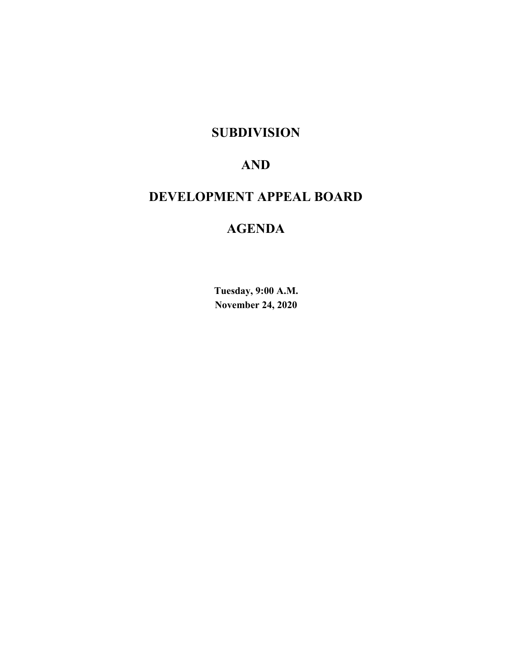# **SUBDIVISION**

# **AND**

# **DEVELOPMENT APPEAL BOARD**

# **AGENDA**

**Tuesday, 9:00 A.M. November 24, 2020**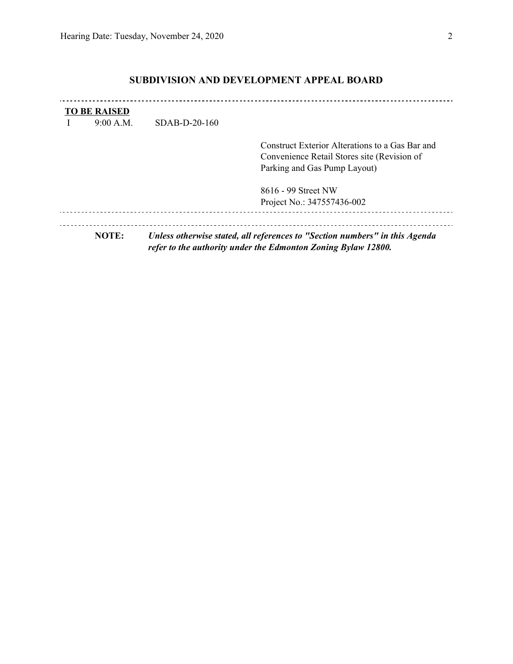# **SUBDIVISION AND DEVELOPMENT APPEAL BOARD**

| <b>TO BE RAISED</b> |                 |                                                                                                                                              |
|---------------------|-----------------|----------------------------------------------------------------------------------------------------------------------------------------------|
| 9:00 A.M.           | $SDAB-D-20-160$ |                                                                                                                                              |
|                     |                 | Construct Exterior Alterations to a Gas Bar and<br>Convenience Retail Stores site (Revision of<br>Parking and Gas Pump Layout)               |
|                     |                 | 8616 - 99 Street NW<br>Project No.: 347557436-002                                                                                            |
| <b>NOTE:</b>        |                 | Unless otherwise stated, all references to "Section numbers" in this Agenda<br>refer to the authority under the Edmonton Zoning Bylaw 12800. |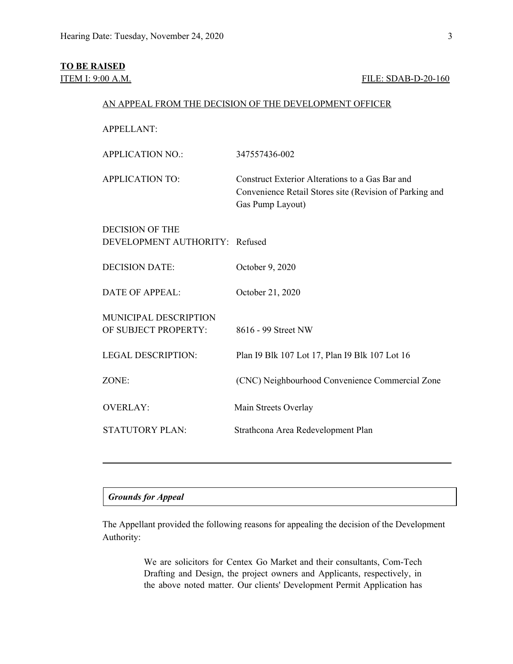# **TO BE RAISED**

# **ITEM I: 9:00 A.M. FILE: SDAB-D-20-160**

## AN APPEAL FROM THE DECISION OF THE DEVELOPMENT OFFICER

APPELLANT:

| <b>APPLICATION NO.:</b>        | 347557436-002                                                                                                                  |  |  |
|--------------------------------|--------------------------------------------------------------------------------------------------------------------------------|--|--|
| <b>APPLICATION TO:</b>         | Construct Exterior Alterations to a Gas Bar and<br>Convenience Retail Stores site (Revision of Parking and<br>Gas Pump Layout) |  |  |
| <b>DECISION OF THE</b>         |                                                                                                                                |  |  |
| DEVELOPMENT AUTHORITY: Refused |                                                                                                                                |  |  |
| <b>DECISION DATE:</b>          | October 9, 2020                                                                                                                |  |  |
| <b>DATE OF APPEAL:</b>         | October 21, 2020                                                                                                               |  |  |
| <b>MUNICIPAL DESCRIPTION</b>   |                                                                                                                                |  |  |
| OF SUBJECT PROPERTY:           | 8616 - 99 Street NW                                                                                                            |  |  |
| <b>LEGAL DESCRIPTION:</b>      | Plan I9 Blk 107 Lot 17, Plan I9 Blk 107 Lot 16                                                                                 |  |  |
| ZONE:                          | (CNC) Neighbourhood Convenience Commercial Zone                                                                                |  |  |
| <b>OVERLAY:</b>                | Main Streets Overlay                                                                                                           |  |  |
| <b>STATUTORY PLAN:</b>         | Strathcona Area Redevelopment Plan                                                                                             |  |  |
|                                |                                                                                                                                |  |  |
|                                |                                                                                                                                |  |  |

# *Grounds for Appeal*

The Appellant provided the following reasons for appealing the decision of the Development Authority:

> We are solicitors for Centex Go Market and their consultants, Com-Tech Drafting and Design, the project owners and Applicants, respectively, in the above noted matter. Our clients' Development Permit Application has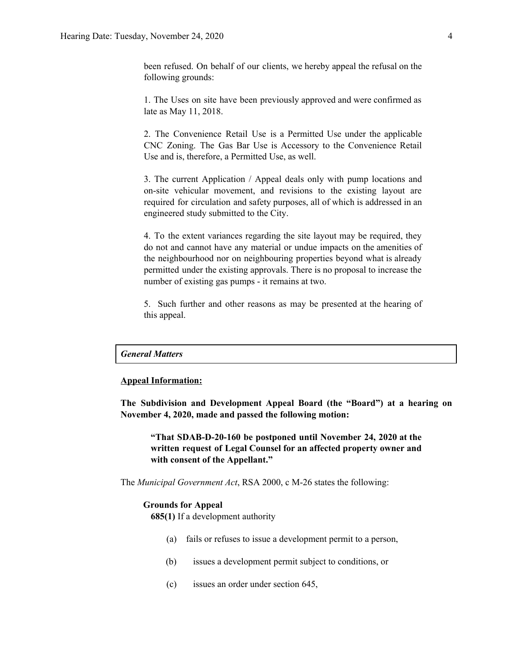been refused. On behalf of our clients, we hereby appeal the refusal on the following grounds:

1. The Uses on site have been previously approved and were confirmed as late as May 11, 2018.

2. The Convenience Retail Use is a Permitted Use under the applicable CNC Zoning. The Gas Bar Use is Accessory to the Convenience Retail Use and is, therefore, a Permitted Use, as well.

3. The current Application / Appeal deals only with pump locations and on-site vehicular movement, and revisions to the existing layout are required for circulation and safety purposes, all of which is addressed in an engineered study submitted to the City.

4. To the extent variances regarding the site layout may be required, they do not and cannot have any material or undue impacts on the amenities of the neighbourhood nor on neighbouring properties beyond what is already permitted under the existing approvals. There is no proposal to increase the number of existing gas pumps - it remains at two.

5. Such further and other reasons as may be presented at the hearing of this appeal.

## *General Matters*

#### **Appeal Information:**

**The Subdivision and Development Appeal Board (the "Board") at a hearing on November 4, 2020, made and passed the following motion:**

**"That SDAB-D-20-160 be postponed until November 24, 2020 at the written request of Legal Counsel for an affected property owner and with consent of the Appellant."**

The *Municipal Government Act*, RSA 2000, c M-26 states the following:

### **Grounds for Appeal**

**685(1)** If a development authority

- (a) fails or refuses to issue a development permit to a person,
- (b) issues a development permit subject to conditions, or
- (c) issues an order under section 645,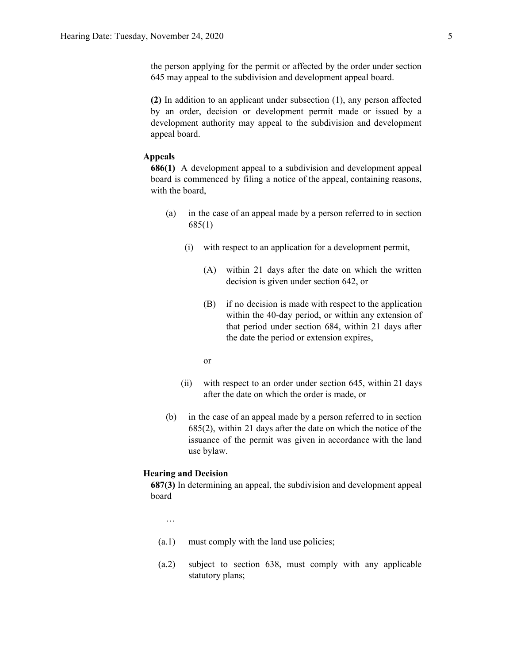the person applying for the permit or affected by the order under section 645 may appeal to the subdivision and development appeal board.

**(2)** In addition to an applicant under subsection (1), any person affected by an order, decision or development permit made or issued by a development authority may appeal to the subdivision and development appeal board.

## **Appeals**

**686(1)** A development appeal to a subdivision and development appeal board is commenced by filing a notice of the appeal, containing reasons, with the board,

- (a) in the case of an appeal made by a person referred to in section 685(1)
	- (i) with respect to an application for a development permit,
		- (A) within 21 days after the date on which the written decision is given under section 642, or
		- (B) if no decision is made with respect to the application within the 40-day period, or within any extension of that period under section 684, within 21 days after the date the period or extension expires,
		- or
	- (ii) with respect to an order under section 645, within 21 days after the date on which the order is made, or
- (b) in the case of an appeal made by a person referred to in section 685(2), within 21 days after the date on which the notice of the issuance of the permit was given in accordance with the land use bylaw.

#### **Hearing and Decision**

**687(3)** In determining an appeal, the subdivision and development appeal board

…

- (a.1) must comply with the land use policies;
- (a.2) subject to section 638, must comply with any applicable statutory plans;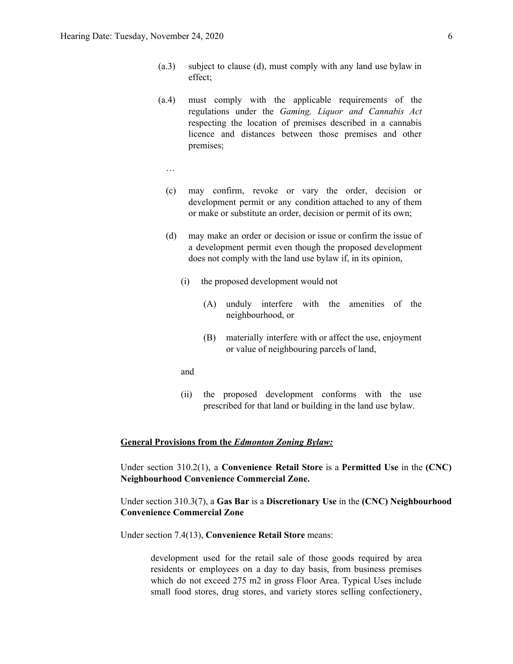- (a.3) subject to clause (d), must comply with any land use bylaw in effect;
- (a.4) must comply with the applicable requirements of the regulations under the *Gaming, Liquor and Cannabis Act* respecting the location of premises described in a cannabis licence and distances between those premises and other premises;
	- …
	- (c) may confirm, revoke or vary the order, decision or development permit or any condition attached to any of them or make or substitute an order, decision or permit of its own;
	- (d) may make an order or decision or issue or confirm the issue of a development permit even though the proposed development does not comply with the land use bylaw if, in its opinion,
		- (i) the proposed development would not
			- (A) unduly interfere with the amenities of the neighbourhood, or
			- (B) materially interfere with or affect the use, enjoyment or value of neighbouring parcels of land,
		- and
		- (ii) the proposed development conforms with the use prescribed for that land or building in the land use bylaw.

## **General Provisions from the** *Edmonton Zoning Bylaw:*

Under section 310.2(1), a **Convenience Retail Store** is a **Permitted Use** in the **(CNC) Neighbourhood Convenience Commercial Zone.**

Under section 310.3(7), a **Gas Bar** is a **Discretionary Use** in the **(CNC) Neighbourhood Convenience Commercial Zone**

Under section 7.4(13), **Convenience Retail Store** means:

development used for the retail sale of those goods required by area residents or employees on a day to day basis, from business premises which do not exceed 275 m2 in gross Floor Area. Typical Uses include small food stores, drug stores, and variety stores selling confectionery,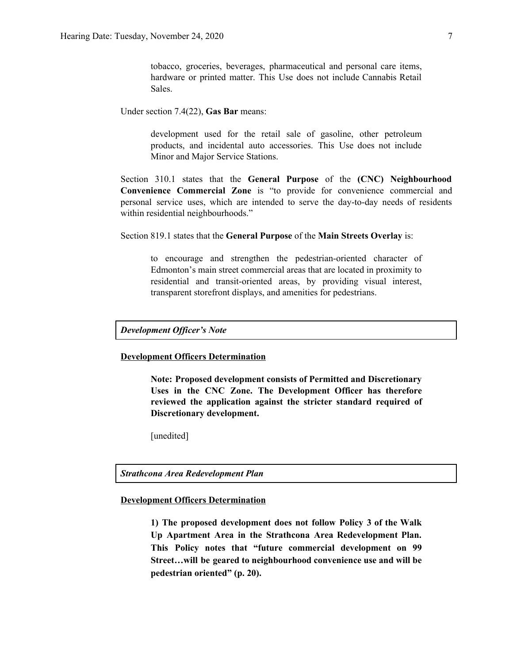tobacco, groceries, beverages, pharmaceutical and personal care items, hardware or printed matter. This Use does not include Cannabis Retail Sales.

Under section 7.4(22), **Gas Bar** means:

development used for the retail sale of gasoline, other petroleum products, and incidental auto accessories. This Use does not include Minor and Major Service Stations.

Section 310.1 states that the **General Purpose** of the **(CNC) Neighbourhood Convenience Commercial Zone** is "to provide for convenience commercial and personal service uses, which are intended to serve the day-to-day needs of residents within residential neighbourhoods."

Section 819.1 states that the **General Purpose** of the **Main Streets Overlay** is:

to encourage and strengthen the pedestrian-oriented character of Edmonton's main street commercial areas that are located in proximity to residential and transit-oriented areas, by providing visual interest, transparent storefront displays, and amenities for pedestrians.

*Development Of icer's Note*

#### **Development Officers Determination**

**Note: Proposed development consists of Permitted and Discretionary Uses in the CNC Zone. The Development Officer has therefore reviewed the application against the stricter standard required of Discretionary development.**

[unedited]

*Strathcona Area Redevelopment Plan*

## **Development Officers Determination**

**1) The proposed development does not follow Policy 3 of the Walk Up Apartment Area in the Strathcona Area Redevelopment Plan. This Policy notes that "future commercial development on 99 Street…will be geared to neighbourhood convenience use and will be pedestrian oriented" (p. 20).**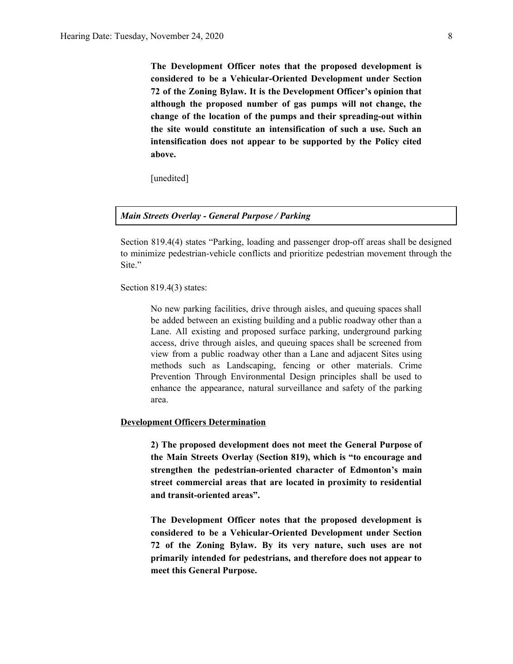**The Development Officer notes that the proposed development is considered to be a Vehicular-Oriented Development under Section 72 of the Zoning Bylaw. It is the Development Officer's opinion that although the proposed number of gas pumps will not change, the change of the location of the pumps and their spreading-out within the site would constitute an intensification of such a use. Such an intensification does not appear to be supported by the Policy cited above.**

[unedited]

#### *Main Streets Overlay - General Purpose / Parking*

Section 819.4(4) states "Parking, loading and passenger drop-off areas shall be designed to minimize pedestrian-vehicle conflicts and prioritize pedestrian movement through the Site."

Section 819.4(3) states:

No new parking facilities, drive through aisles, and queuing spaces shall be added between an existing building and a public roadway other than a Lane. All existing and proposed surface parking, underground parking access, drive through aisles, and queuing spaces shall be screened from view from a public roadway other than a Lane and adjacent Sites using methods such as Landscaping, fencing or other materials. Crime Prevention Through Environmental Design principles shall be used to enhance the appearance, natural surveillance and safety of the parking area.

### **Development Officers Determination**

**2) The proposed development does not meet the General Purpose of the Main Streets Overlay (Section 819), which is "to encourage and strengthen the pedestrian-oriented character of Edmonton's main street commercial areas that are located in proximity to residential and transit-oriented areas".**

**The Development Officer notes that the proposed development is considered to be a Vehicular-Oriented Development under Section 72 of the Zoning Bylaw. By its very nature, such uses are not primarily intended for pedestrians, and therefore does not appear to meet this General Purpose.**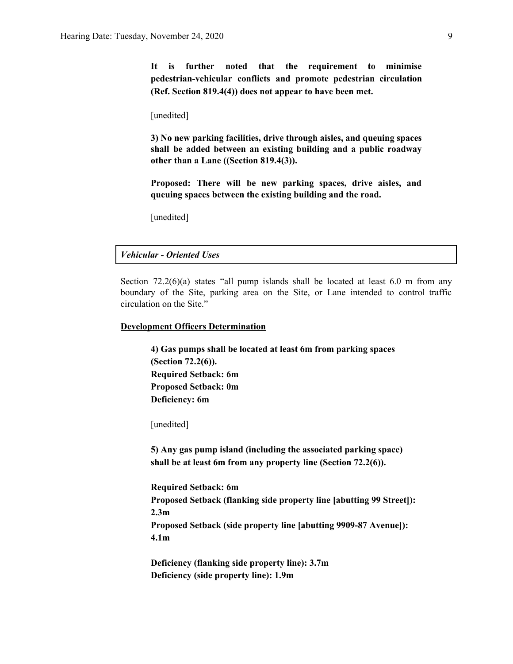**It is further noted that the requirement to minimise pedestrian-vehicular conflicts and promote pedestrian circulation (Ref. Section 819.4(4)) does not appear to have been met.**

[unedited]

**3) No new parking facilities, drive through aisles, and queuing spaces shall be added between an existing building and a public roadway other than a Lane ((Section 819.4(3)).**

**Proposed: There will be new parking spaces, drive aisles, and queuing spaces between the existing building and the road.**

[unedited]

#### *Vehicular - Oriented Uses*

Section  $72.2(6)(a)$  states "all pump islands shall be located at least 6.0 m from any boundary of the Site, parking area on the Site, or Lane intended to control traffic circulation on the Site."

### **Development Officers Determination**

**4) Gas pumps shall be located at least 6m from parking spaces (Section 72.2(6)). Required Setback: 6m Proposed Setback: 0m Deficiency: 6m**

[unedited]

**5) Any gas pump island (including the associated parking space) shall be at least 6m from any property line (Section 72.2(6)).**

**Required Setback: 6m Proposed Setback (flanking side property line [abutting 99 Street]): 2.3m Proposed Setback (side property line [abutting 9909-87 Avenue]): 4.1m**

**Deficiency (flanking side property line): 3.7m Deficiency (side property line): 1.9m**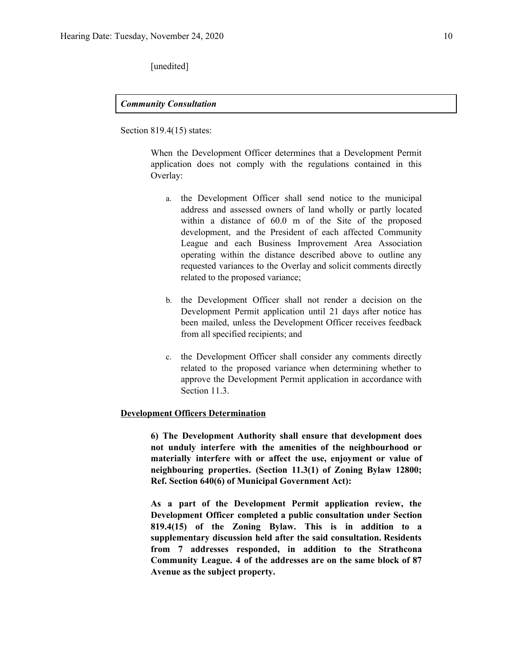[unedited]

#### *Community Consultation*

Section 819.4(15) states:

When the Development Officer determines that a Development Permit application does not comply with the regulations contained in this Overlay:

- a. the Development Officer shall send notice to the municipal address and assessed owners of land wholly or partly located within a distance of 60.0 m of the Site of the proposed development, and the President of each affected Community League and each Business Improvement Area Association operating within the distance described above to outline any requested variances to the Overlay and solicit comments directly related to the proposed variance;
- b. the Development Officer shall not render a decision on the Development Permit application until 21 days after notice has been mailed, unless the Development Officer receives feedback from all specified recipients; and
- c. the Development Officer shall consider any comments directly related to the proposed variance when determining whether to approve the Development Permit application in accordance with Section 11.3.

#### **Development Officers Determination**

**6) The Development Authority shall ensure that development does not unduly interfere with the amenities of the neighbourhood or materially interfere with or affect the use, enjoyment or value of neighbouring properties. (Section 11.3(1) of Zoning Bylaw 12800; Ref. Section 640(6) of Municipal Government Act):**

**As a part of the Development Permit application review, the Development Officer completed a public consultation under Section 819.4(15) of the Zoning Bylaw. This is in addition to a supplementary discussion held after the said consultation. Residents from 7 addresses responded, in addition to the Strathcona Community League. 4 of the addresses are on the same block of 87 Avenue as the subject property.**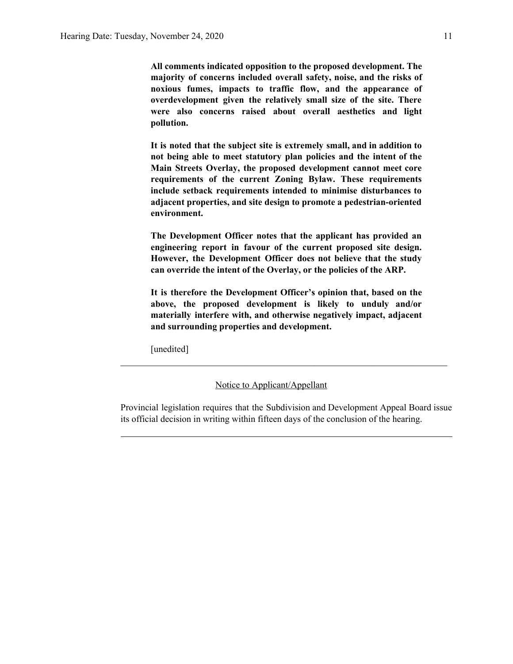**All comments indicated opposition to the proposed development. The majority of concerns included overall safety, noise, and the risks of noxious fumes, impacts to traffic flow, and the appearance of overdevelopment given the relatively small size of the site. There were also concerns raised about overall aesthetics and light pollution.**

**It is noted that the subject site is extremely small, and in addition to not being able to meet statutory plan policies and the intent of the Main Streets Overlay, the proposed development cannot meet core requirements of the current Zoning Bylaw. These requirements include setback requirements intended to minimise disturbances to adjacent properties, and site design to promote a pedestrian-oriented environment.**

**The Development Officer notes that the applicant has provided an engineering report in favour of the current proposed site design. However, the Development Officer does not believe that the study can override the intent of the Overlay, or the policies of the ARP.**

**It is therefore the Development Officer's opinion that, based on the above, the proposed development is likely to unduly and/or materially interfere with, and otherwise negatively impact, adjacent and surrounding properties and development.**

[unedited]

## Notice to Applicant/Appellant

Provincial legislation requires that the Subdivision and Development Appeal Board issue its official decision in writing within fifteen days of the conclusion of the hearing.

 $\mathcal{L}_\text{max}$  , and the contribution of the contribution of the contribution of the contribution of the contribution of the contribution of the contribution of the contribution of the contribution of the contribution of t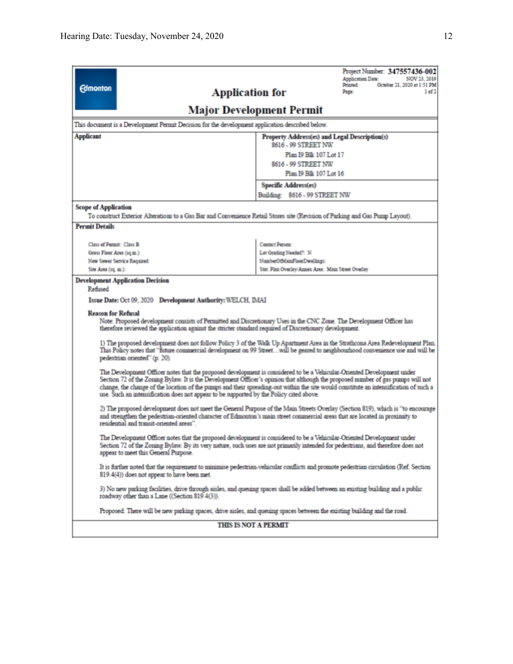| <b>Edmonton</b><br><b>Application for</b>                                                                                                                                                                                                                                                                                                                                                                                                                                                                                                                                                                                                                                                                                                                                                                                                                                                                                                                                                                                                                                                                                                                                                                                                                                                                                                                                                                                                                                                                                                                                                                                                                                                                                                                                                                                                                                                                                                                                                                                                                                                                                             | Project Number: 347557436-002<br><b>Application Date:</b><br>NOV 23, 2019<br>October 21, 2020 at 1:51 PM<br>Printed:<br>Page:<br>1 of 2 |  |  |  |  |  |  |  |  |
|---------------------------------------------------------------------------------------------------------------------------------------------------------------------------------------------------------------------------------------------------------------------------------------------------------------------------------------------------------------------------------------------------------------------------------------------------------------------------------------------------------------------------------------------------------------------------------------------------------------------------------------------------------------------------------------------------------------------------------------------------------------------------------------------------------------------------------------------------------------------------------------------------------------------------------------------------------------------------------------------------------------------------------------------------------------------------------------------------------------------------------------------------------------------------------------------------------------------------------------------------------------------------------------------------------------------------------------------------------------------------------------------------------------------------------------------------------------------------------------------------------------------------------------------------------------------------------------------------------------------------------------------------------------------------------------------------------------------------------------------------------------------------------------------------------------------------------------------------------------------------------------------------------------------------------------------------------------------------------------------------------------------------------------------------------------------------------------------------------------------------------------|-----------------------------------------------------------------------------------------------------------------------------------------|--|--|--|--|--|--|--|--|
| <b>Major Development Permit</b>                                                                                                                                                                                                                                                                                                                                                                                                                                                                                                                                                                                                                                                                                                                                                                                                                                                                                                                                                                                                                                                                                                                                                                                                                                                                                                                                                                                                                                                                                                                                                                                                                                                                                                                                                                                                                                                                                                                                                                                                                                                                                                       |                                                                                                                                         |  |  |  |  |  |  |  |  |
| This document is a Development Permit Decision for the development application described below.                                                                                                                                                                                                                                                                                                                                                                                                                                                                                                                                                                                                                                                                                                                                                                                                                                                                                                                                                                                                                                                                                                                                                                                                                                                                                                                                                                                                                                                                                                                                                                                                                                                                                                                                                                                                                                                                                                                                                                                                                                       |                                                                                                                                         |  |  |  |  |  |  |  |  |
| <b>Applicant</b><br>Property Address(es) and Legal Description(s)                                                                                                                                                                                                                                                                                                                                                                                                                                                                                                                                                                                                                                                                                                                                                                                                                                                                                                                                                                                                                                                                                                                                                                                                                                                                                                                                                                                                                                                                                                                                                                                                                                                                                                                                                                                                                                                                                                                                                                                                                                                                     |                                                                                                                                         |  |  |  |  |  |  |  |  |
|                                                                                                                                                                                                                                                                                                                                                                                                                                                                                                                                                                                                                                                                                                                                                                                                                                                                                                                                                                                                                                                                                                                                                                                                                                                                                                                                                                                                                                                                                                                                                                                                                                                                                                                                                                                                                                                                                                                                                                                                                                                                                                                                       | 8616 - 99 STREET NW<br>Plan I9 Blk 107 Lot 17                                                                                           |  |  |  |  |  |  |  |  |
|                                                                                                                                                                                                                                                                                                                                                                                                                                                                                                                                                                                                                                                                                                                                                                                                                                                                                                                                                                                                                                                                                                                                                                                                                                                                                                                                                                                                                                                                                                                                                                                                                                                                                                                                                                                                                                                                                                                                                                                                                                                                                                                                       | 8616 - 99 STREET NW                                                                                                                     |  |  |  |  |  |  |  |  |
|                                                                                                                                                                                                                                                                                                                                                                                                                                                                                                                                                                                                                                                                                                                                                                                                                                                                                                                                                                                                                                                                                                                                                                                                                                                                                                                                                                                                                                                                                                                                                                                                                                                                                                                                                                                                                                                                                                                                                                                                                                                                                                                                       | Plan I9 Blk 107 Lot 16                                                                                                                  |  |  |  |  |  |  |  |  |
|                                                                                                                                                                                                                                                                                                                                                                                                                                                                                                                                                                                                                                                                                                                                                                                                                                                                                                                                                                                                                                                                                                                                                                                                                                                                                                                                                                                                                                                                                                                                                                                                                                                                                                                                                                                                                                                                                                                                                                                                                                                                                                                                       | Specific Address(es)                                                                                                                    |  |  |  |  |  |  |  |  |
|                                                                                                                                                                                                                                                                                                                                                                                                                                                                                                                                                                                                                                                                                                                                                                                                                                                                                                                                                                                                                                                                                                                                                                                                                                                                                                                                                                                                                                                                                                                                                                                                                                                                                                                                                                                                                                                                                                                                                                                                                                                                                                                                       | Building: 8616 - 99 STREET NW                                                                                                           |  |  |  |  |  |  |  |  |
| <b>Scope of Application</b><br>To construct Exterior Alterations to a Gas Bar and Convenience Retail Stores site (Revision of Parking and Gas Pump Layout).                                                                                                                                                                                                                                                                                                                                                                                                                                                                                                                                                                                                                                                                                                                                                                                                                                                                                                                                                                                                                                                                                                                                                                                                                                                                                                                                                                                                                                                                                                                                                                                                                                                                                                                                                                                                                                                                                                                                                                           |                                                                                                                                         |  |  |  |  |  |  |  |  |
| <b>Permit Details</b>                                                                                                                                                                                                                                                                                                                                                                                                                                                                                                                                                                                                                                                                                                                                                                                                                                                                                                                                                                                                                                                                                                                                                                                                                                                                                                                                                                                                                                                                                                                                                                                                                                                                                                                                                                                                                                                                                                                                                                                                                                                                                                                 |                                                                                                                                         |  |  |  |  |  |  |  |  |
|                                                                                                                                                                                                                                                                                                                                                                                                                                                                                                                                                                                                                                                                                                                                                                                                                                                                                                                                                                                                                                                                                                                                                                                                                                                                                                                                                                                                                                                                                                                                                                                                                                                                                                                                                                                                                                                                                                                                                                                                                                                                                                                                       |                                                                                                                                         |  |  |  |  |  |  |  |  |
| Class of Permit: Class B<br>Gross Floor Area (sq.m.):                                                                                                                                                                                                                                                                                                                                                                                                                                                                                                                                                                                                                                                                                                                                                                                                                                                                                                                                                                                                                                                                                                                                                                                                                                                                                                                                                                                                                                                                                                                                                                                                                                                                                                                                                                                                                                                                                                                                                                                                                                                                                 | <b>Contact Person:</b><br>Lot Grading Needed?: N                                                                                        |  |  |  |  |  |  |  |  |
| New Sewer Service Required:                                                                                                                                                                                                                                                                                                                                                                                                                                                                                                                                                                                                                                                                                                                                                                                                                                                                                                                                                                                                                                                                                                                                                                                                                                                                                                                                                                                                                                                                                                                                                                                                                                                                                                                                                                                                                                                                                                                                                                                                                                                                                                           | NumberOfMainFloorDwellings:                                                                                                             |  |  |  |  |  |  |  |  |
| Site Area (sq. m.):                                                                                                                                                                                                                                                                                                                                                                                                                                                                                                                                                                                                                                                                                                                                                                                                                                                                                                                                                                                                                                                                                                                                                                                                                                                                                                                                                                                                                                                                                                                                                                                                                                                                                                                                                                                                                                                                                                                                                                                                                                                                                                                   | Stat. Plan Overlay/Annes Area: Main Street Overlay                                                                                      |  |  |  |  |  |  |  |  |
| <b>Development Application Decision</b><br>Refused<br>Issue Date: Oct 09, 2020 Development Authority: WELCH, IMAI<br><b>Reason for Refusal</b><br>Note: Proposed development consists of Permitted and Discretionary Uses in the CNC Zone. The Development Officer has<br>therefore reviewed the application against the stricter standard required of Discretionary development.<br>1) The proposed development does not follow Policy 3 of the Walk Up Apartment Area in the Strathcona Area Redevelopment Plan.<br>This Policy notes that "future commercial development on 99 Street…will be geared to neighbourhood convenience use and will be<br>pedestrian oriented" (p. 20).<br>The Development Officer notes that the proposed development is considered to be a Vehicular-Oriented Development under<br>Section 72 of the Zoning Bylaw. It is the Development Officer's opinion that although the proposed number of gas pumps will not<br>change, the change of the location of the pumps and their spreading-out within the site would constitute an intensification of such a<br>use. Such an intensification does not appear to be supported by the Policy cited above.<br>2) The proposed development does not meet the General Purpose of the Main Streets Overlay (Section 819), which is "to encourage<br>and strengthen the pedestrian-oriented character of Edmonton's main street commercial areas that are located in proximity to<br>residential and transit-oriented areas".<br>The Development Officer notes that the proposed development is considered to be a Vehicular-Oriented Development under<br>Section 72 of the Zoning Bylaw. By its very nature, such uses are not primarily intended for pedestrians, and therefore does not<br>appear to meet this General Purpose.<br>It is further noted that the requirement to minimise pedestrian-vehicular conflicts and promote pedestrian circulation (Ref. Section<br>819.4(4)) does not appear to have been met.<br>3) No new parking facilities, drive through aisles, and queuing spaces shall be added between an existing building and a public |                                                                                                                                         |  |  |  |  |  |  |  |  |
| roadway other than a Lane ((Section 819.4(3)).                                                                                                                                                                                                                                                                                                                                                                                                                                                                                                                                                                                                                                                                                                                                                                                                                                                                                                                                                                                                                                                                                                                                                                                                                                                                                                                                                                                                                                                                                                                                                                                                                                                                                                                                                                                                                                                                                                                                                                                                                                                                                        | Proposed: There will be new parking spaces, drive aisles, and queuing spaces between the existing building and the road.                |  |  |  |  |  |  |  |  |
| <b>THIS IS NOT A PERMIT</b>                                                                                                                                                                                                                                                                                                                                                                                                                                                                                                                                                                                                                                                                                                                                                                                                                                                                                                                                                                                                                                                                                                                                                                                                                                                                                                                                                                                                                                                                                                                                                                                                                                                                                                                                                                                                                                                                                                                                                                                                                                                                                                           |                                                                                                                                         |  |  |  |  |  |  |  |  |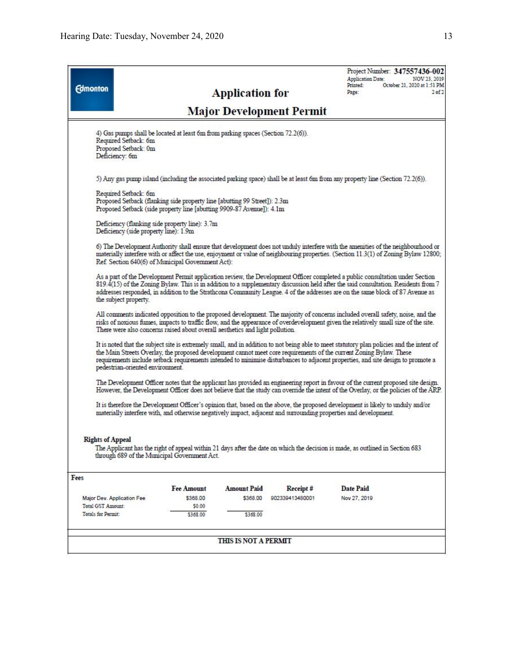| <b>Edmonton</b>                                                       |                                                                                                                                                                                                                                                                                                                             |                                                                                                                                                    | <b>Application for</b>                     |                             | Project Number: 347557436-002<br>Application Date:<br>NOV 23, 2019<br>Printed:<br>October 21, 2020 at 1:51 PM<br>$2$ of $2$<br>Page:                                                                                                                                                                                                                                                                  |  |  |  |  |
|-----------------------------------------------------------------------|-----------------------------------------------------------------------------------------------------------------------------------------------------------------------------------------------------------------------------------------------------------------------------------------------------------------------------|----------------------------------------------------------------------------------------------------------------------------------------------------|--------------------------------------------|-----------------------------|-------------------------------------------------------------------------------------------------------------------------------------------------------------------------------------------------------------------------------------------------------------------------------------------------------------------------------------------------------------------------------------------------------|--|--|--|--|
| <b>Major Development Permit</b>                                       |                                                                                                                                                                                                                                                                                                                             |                                                                                                                                                    |                                            |                             |                                                                                                                                                                                                                                                                                                                                                                                                       |  |  |  |  |
|                                                                       | Required Setback: 6m<br>Proposed Setback: 0m<br>Deficiency: 6m                                                                                                                                                                                                                                                              | 4) Gas pumps shall be located at least 6m from parking spaces (Section 72.2(6)).                                                                   |                                            |                             |                                                                                                                                                                                                                                                                                                                                                                                                       |  |  |  |  |
|                                                                       | 5) Any gas pump island (including the associated parking space) shall be at least 6m from any property line (Section 72.2(6)).                                                                                                                                                                                              |                                                                                                                                                    |                                            |                             |                                                                                                                                                                                                                                                                                                                                                                                                       |  |  |  |  |
|                                                                       | Required Setback: 6m                                                                                                                                                                                                                                                                                                        | Proposed Setback (flanking side property line [abutting 99 Street]): 2.3m<br>Proposed Setback (side property line [abutting 9909-87 Avenue]): 4.1m |                                            |                             |                                                                                                                                                                                                                                                                                                                                                                                                       |  |  |  |  |
|                                                                       | Deficiency (flanking side property line): 3.7m<br>Deficiency (side property line): 1.9m                                                                                                                                                                                                                                     |                                                                                                                                                    |                                            |                             |                                                                                                                                                                                                                                                                                                                                                                                                       |  |  |  |  |
|                                                                       | 6) The Development Authority shall ensure that development does not unduly interfere with the amenities of the neighbourhood or<br>materially interfere with or affect the use, enjoyment or value of neighbouring properties. (Section 11.3(1) of Zoning Bylaw 12800;<br>Ref. Section 640(6) of Municipal Government Act): |                                                                                                                                                    |                                            |                             |                                                                                                                                                                                                                                                                                                                                                                                                       |  |  |  |  |
|                                                                       | the subject property.                                                                                                                                                                                                                                                                                                       |                                                                                                                                                    |                                            |                             | As a part of the Development Permit application review, the Development Officer completed a public consultation under Section<br>819.4(15) of the Zoning Bylaw. This is in addition to a supplementary discussion held after the said consultation. Residents from 7<br>addresses responded, in addition to the Strathcona Community League. 4 of the addresses are on the same block of 87 Avenue as |  |  |  |  |
|                                                                       |                                                                                                                                                                                                                                                                                                                             | There were also concerns raised about overall aesthetics and light pollution.                                                                      |                                            |                             | All comments indicated opposition to the proposed development. The majority of concerns included overall safety, noise, and the<br>risks of noxious fumes, impacts to traffic flow, and the appearance of overdevelopment given the relatively small size of the site.                                                                                                                                |  |  |  |  |
|                                                                       | pedestrian-oriented environment.                                                                                                                                                                                                                                                                                            |                                                                                                                                                    |                                            |                             | It is noted that the subject site is extremely small, and in addition to not being able to meet statutory plan policies and the intent of<br>the Main Streets Overlay, the proposed development cannot meet core requirements of the current Zoning Bylaw. These<br>requirements include setback requirements intended to minimise disturbances to adjacent properties, and site design to promote a  |  |  |  |  |
|                                                                       |                                                                                                                                                                                                                                                                                                                             |                                                                                                                                                    |                                            |                             | The Development Officer notes that the applicant has provided an engineering report in favour of the current proposed site design.<br>However, the Development Officer does not believe that the study can override the intent of the Overlay, or the policies of the ARP.                                                                                                                            |  |  |  |  |
|                                                                       |                                                                                                                                                                                                                                                                                                                             |                                                                                                                                                    |                                            |                             | It is therefore the Development Officer's opinion that, based on the above, the proposed development is likely to unduly and/or<br>materially interfere with, and otherwise negatively impact, adjacent and surrounding properties and development.                                                                                                                                                   |  |  |  |  |
| <b>Rights of Appeal</b>                                               |                                                                                                                                                                                                                                                                                                                             | through 689 of the Municipal Government Act.                                                                                                       |                                            |                             | The Applicant has the right of appeal within 21 days after the date on which the decision is made, as outlined in Section 683                                                                                                                                                                                                                                                                         |  |  |  |  |
| Fees                                                                  |                                                                                                                                                                                                                                                                                                                             |                                                                                                                                                    |                                            |                             |                                                                                                                                                                                                                                                                                                                                                                                                       |  |  |  |  |
| Major Dev. Application Fee<br>Total GST Amount:<br>Totals for Permit: |                                                                                                                                                                                                                                                                                                                             | <b>Fee Amount</b><br>\$368.00<br>\$0.00<br>\$368.00                                                                                                | <b>Amount Paid</b><br>\$368.00<br>\$368.00 | Receipt#<br>902339413480001 | <b>Date Paid</b><br>Nov 27, 2019                                                                                                                                                                                                                                                                                                                                                                      |  |  |  |  |
|                                                                       |                                                                                                                                                                                                                                                                                                                             |                                                                                                                                                    |                                            |                             |                                                                                                                                                                                                                                                                                                                                                                                                       |  |  |  |  |
|                                                                       |                                                                                                                                                                                                                                                                                                                             |                                                                                                                                                    | THIS IS NOT A PERMIT                       |                             |                                                                                                                                                                                                                                                                                                                                                                                                       |  |  |  |  |
|                                                                       |                                                                                                                                                                                                                                                                                                                             |                                                                                                                                                    |                                            |                             |                                                                                                                                                                                                                                                                                                                                                                                                       |  |  |  |  |